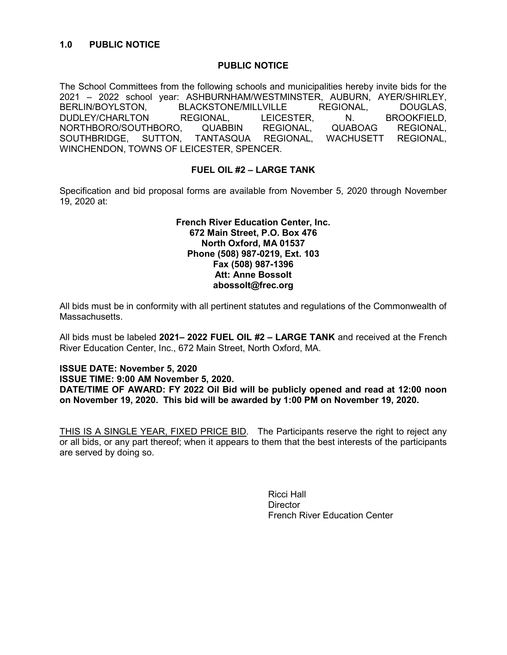#### PUBLIC NOTICE

The School Committees from the following schools and municipalities hereby invite bids for the 2021 – 2022 school year: ASHBURNHAM/WESTMINSTER, AUBURN, AYER/SHIRLEY, BERLIN/BOYLSTON, BLACKSTONE/MILLVILLE REGIONAL, DOUGLAS, DUDLEY/CHARLTON REGIONAL, LEICESTER, N. BROOKFIELD, NORTHBORO/SOUTHBORO, QUABBIN REGIONAL, QUABOAG REGIONAL, SOUTHBRIDGE, SUTTON, TANTASQUA REGIONAL, WACHUSETT REGIONAL, WINCHENDON, TOWNS OF LEICESTER, SPENCER.

## FUEL OIL #2 – LARGE TANK

Specification and bid proposal forms are available from November 5, 2020 through November 19, 2020 at:

#### French River Education Center, Inc. 672 Main Street, P.O. Box 476 North Oxford, MA 01537 Phone (508) 987-0219, Ext. 103 Fax (508) 987-1396 Att: Anne Bossolt abossolt@frec.org

All bids must be in conformity with all pertinent statutes and regulations of the Commonwealth of **Massachusetts** 

All bids must be labeled 2021-2022 FUEL OIL #2 - LARGE TANK and received at the French River Education Center, Inc., 672 Main Street, North Oxford, MA.

ISSUE DATE: November 5, 2020 ISSUE TIME: 9:00 AM November 5, 2020. DATE/TIME OF AWARD: FY 2022 Oil Bid will be publicly opened and read at 12:00 noon on November 19, 2020. This bid will be awarded by 1:00 PM on November 19, 2020.

THIS IS A SINGLE YEAR, FIXED PRICE BID. The Participants reserve the right to reject any or all bids, or any part thereof; when it appears to them that the best interests of the participants are served by doing so.

> Ricci Hall **Director** French River Education Center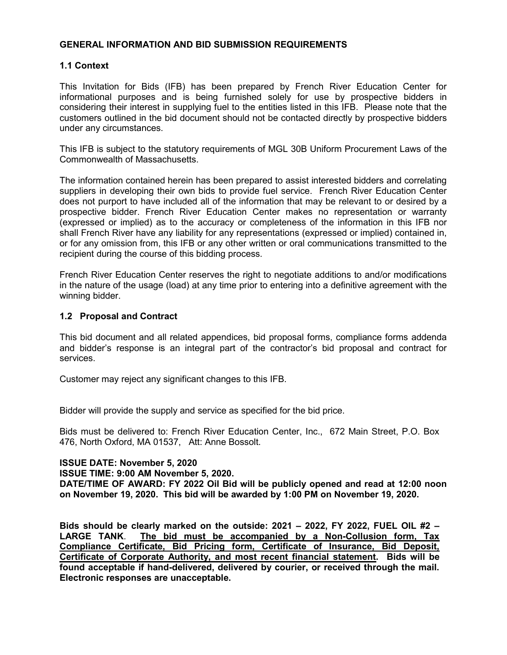### GENERAL INFORMATION AND BID SUBMISSION REQUIREMENTS

## 1.1 Context

This Invitation for Bids (IFB) has been prepared by French River Education Center for informational purposes and is being furnished solely for use by prospective bidders in considering their interest in supplying fuel to the entities listed in this IFB. Please note that the customers outlined in the bid document should not be contacted directly by prospective bidders under any circumstances.

This IFB is subject to the statutory requirements of MGL 30B Uniform Procurement Laws of the Commonwealth of Massachusetts.

The information contained herein has been prepared to assist interested bidders and correlating suppliers in developing their own bids to provide fuel service. French River Education Center does not purport to have included all of the information that may be relevant to or desired by a prospective bidder. French River Education Center makes no representation or warranty (expressed or implied) as to the accuracy or completeness of the information in this IFB nor shall French River have any liability for any representations (expressed or implied) contained in, or for any omission from, this IFB or any other written or oral communications transmitted to the recipient during the course of this bidding process.

French River Education Center reserves the right to negotiate additions to and/or modifications in the nature of the usage (load) at any time prior to entering into a definitive agreement with the winning bidder.

#### 1.2 Proposal and Contract

This bid document and all related appendices, bid proposal forms, compliance forms addenda and bidder's response is an integral part of the contractor's bid proposal and contract for services.

Customer may reject any significant changes to this IFB.

Bidder will provide the supply and service as specified for the bid price.

Bids must be delivered to: French River Education Center, Inc., 672 Main Street, P.O. Box 476, North Oxford, MA 01537, Att: Anne Bossolt.

#### ISSUE DATE: November 5, 2020

ISSUE TIME: 9:00 AM November 5, 2020.

DATE/TIME OF AWARD: FY 2022 Oil Bid will be publicly opened and read at 12:00 noon on November 19, 2020. This bid will be awarded by 1:00 PM on November 19, 2020.

Bids should be clearly marked on the outside: 2021 – 2022, FY 2022, FUEL OIL #2 – LARGE TANK. The bid must be accompanied by a Non-Collusion form, Tax Compliance Certificate, Bid Pricing form, Certificate of Insurance, Bid Deposit, Certificate of Corporate Authority, and most recent financial statement. Bids will be found acceptable if hand-delivered, delivered by courier, or received through the mail. Electronic responses are unacceptable.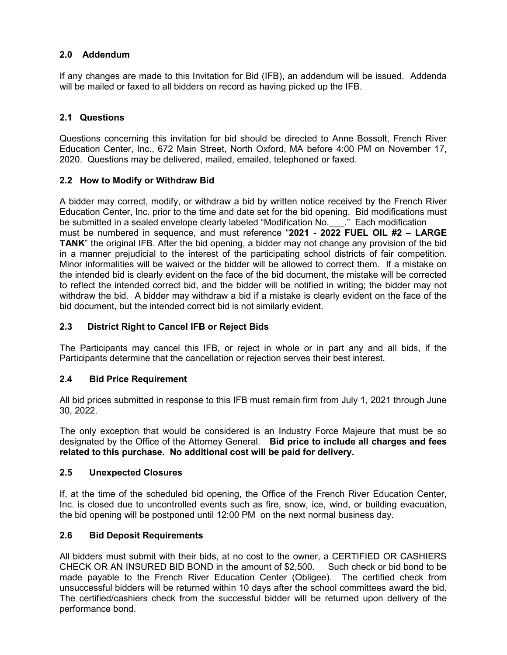## 2.0 Addendum

If any changes are made to this Invitation for Bid (IFB), an addendum will be issued. Addenda will be mailed or faxed to all bidders on record as having picked up the IFB.

## 2.1 Questions

Questions concerning this invitation for bid should be directed to Anne Bossolt, French River Education Center, Inc., 672 Main Street, North Oxford, MA before 4:00 PM on November 17, 2020. Questions may be delivered, mailed, emailed, telephoned or faxed.

## 2.2 How to Modify or Withdraw Bid

A bidder may correct, modify, or withdraw a bid by written notice received by the French River Education Center, Inc. prior to the time and date set for the bid opening. Bid modifications must be submitted in a sealed envelope clearly labeled "Modification No. Fach modification must be numbered in sequence, and must reference "2021 - 2022 FUEL OIL #2 – LARGE TANK" the original IFB. After the bid opening, a bidder may not change any provision of the bid in a manner prejudicial to the interest of the participating school districts of fair competition. Minor informalities will be waived or the bidder will be allowed to correct them. If a mistake on the intended bid is clearly evident on the face of the bid document, the mistake will be corrected to reflect the intended correct bid, and the bidder will be notified in writing; the bidder may not withdraw the bid. A bidder may withdraw a bid if a mistake is clearly evident on the face of the bid document, but the intended correct bid is not similarly evident.

## 2.3 District Right to Cancel IFB or Reject Bids

The Participants may cancel this IFB, or reject in whole or in part any and all bids, if the Participants determine that the cancellation or rejection serves their best interest.

## 2.4 Bid Price Requirement

All bid prices submitted in response to this IFB must remain firm from July 1, 2021 through June 30, 2022.

The only exception that would be considered is an Industry Force Majeure that must be so designated by the Office of the Attorney General. Bid price to include all charges and fees related to this purchase. No additional cost will be paid for delivery.

## 2.5 Unexpected Closures

If, at the time of the scheduled bid opening, the Office of the French River Education Center, Inc. is closed due to uncontrolled events such as fire, snow, ice, wind, or building evacuation, the bid opening will be postponed until 12:00 PM on the next normal business day.

## 2.6 Bid Deposit Requirements

All bidders must submit with their bids, at no cost to the owner, a CERTIFIED OR CASHIERS CHECK OR AN INSURED BID BOND in the amount of \$2,500. Such check or bid bond to be made payable to the French River Education Center (Obligee). The certified check from unsuccessful bidders will be returned within 10 days after the school committees award the bid. The certified/cashiers check from the successful bidder will be returned upon delivery of the performance bond.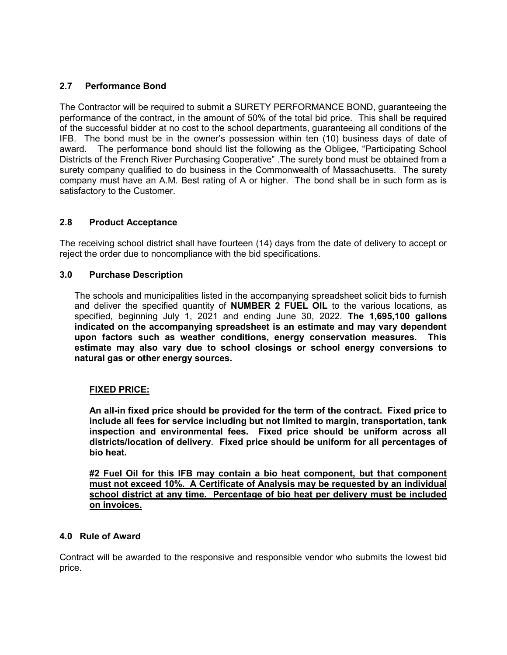## 2.7 Performance Bond

The Contractor will be required to submit a SURETY PERFORMANCE BOND, guaranteeing the performance of the contract, in the amount of 50% of the total bid price. This shall be required of the successful bidder at no cost to the school departments, guaranteeing all conditions of the IFB. The bond must be in the owner's possession within ten (10) business days of date of award. The performance bond should list the following as the Obligee, "Participating School Districts of the French River Purchasing Cooperative" .The surety bond must be obtained from a surety company qualified to do business in the Commonwealth of Massachusetts. The surety company must have an A.M. Best rating of A or higher. The bond shall be in such form as is satisfactory to the Customer.

## 2.8 Product Acceptance

The receiving school district shall have fourteen (14) days from the date of delivery to accept or reject the order due to noncompliance with the bid specifications.

#### 3.0 Purchase Description

The schools and municipalities listed in the accompanying spreadsheet solicit bids to furnish and deliver the specified quantity of **NUMBER 2 FUEL OIL** to the various locations, as specified, beginning July 1, 2021 and ending June 30, 2022. The 1,695,100 gallons indicated on the accompanying spreadsheet is an estimate and may vary dependent upon factors such as weather conditions, energy conservation measures. This estimate may also vary due to school closings or school energy conversions to natural gas or other energy sources.

## FIXED PRICE:

An all-in fixed price should be provided for the term of the contract. Fixed price to include all fees for service including but not limited to margin, transportation, tank inspection and environmental fees. Fixed price should be uniform across all districts/location of delivery. Fixed price should be uniform for all percentages of bio heat.

#2 Fuel Oil for this IFB may contain a bio heat component, but that component must not exceed 10%. A Certificate of Analysis may be requested by an individual school district at any time. Percentage of bio heat per delivery must be included on invoices.

#### 4.0 Rule of Award

Contract will be awarded to the responsive and responsible vendor who submits the lowest bid price.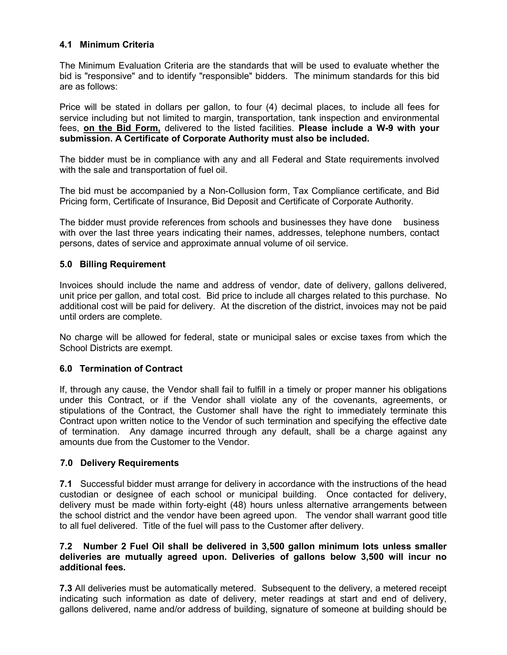## 4.1 Minimum Criteria

The Minimum Evaluation Criteria are the standards that will be used to evaluate whether the bid is "responsive" and to identify "responsible" bidders. The minimum standards for this bid are as follows:

Price will be stated in dollars per gallon, to four (4) decimal places, to include all fees for service including but not limited to margin, transportation, tank inspection and environmental fees, on the Bid Form, delivered to the listed facilities. Please include a W-9 with your submission. A Certificate of Corporate Authority must also be included.

The bidder must be in compliance with any and all Federal and State requirements involved with the sale and transportation of fuel oil.

The bid must be accompanied by a Non-Collusion form, Tax Compliance certificate, and Bid Pricing form, Certificate of Insurance, Bid Deposit and Certificate of Corporate Authority.

The bidder must provide references from schools and businesses they have done business with over the last three years indicating their names, addresses, telephone numbers, contact persons, dates of service and approximate annual volume of oil service.

## 5.0 Billing Requirement

Invoices should include the name and address of vendor, date of delivery, gallons delivered, unit price per gallon, and total cost. Bid price to include all charges related to this purchase. No additional cost will be paid for delivery. At the discretion of the district, invoices may not be paid until orders are complete.

No charge will be allowed for federal, state or municipal sales or excise taxes from which the School Districts are exempt.

## 6.0 Termination of Contract

If, through any cause, the Vendor shall fail to fulfill in a timely or proper manner his obligations under this Contract, or if the Vendor shall violate any of the covenants, agreements, or stipulations of the Contract, the Customer shall have the right to immediately terminate this Contract upon written notice to the Vendor of such termination and specifying the effective date of termination. Any damage incurred through any default, shall be a charge against any amounts due from the Customer to the Vendor.

## 7.0 Delivery Requirements

7.1 Successful bidder must arrange for delivery in accordance with the instructions of the head custodian or designee of each school or municipal building. Once contacted for delivery, delivery must be made within forty-eight (48) hours unless alternative arrangements between the school district and the vendor have been agreed upon. The vendor shall warrant good title to all fuel delivered. Title of the fuel will pass to the Customer after delivery.

#### 7.2 Number 2 Fuel Oil shall be delivered in 3,500 gallon minimum lots unless smaller deliveries are mutually agreed upon. Deliveries of gallons below 3,500 will incur no additional fees.

7.3 All deliveries must be automatically metered. Subsequent to the delivery, a metered receipt indicating such information as date of delivery, meter readings at start and end of delivery, gallons delivered, name and/or address of building, signature of someone at building should be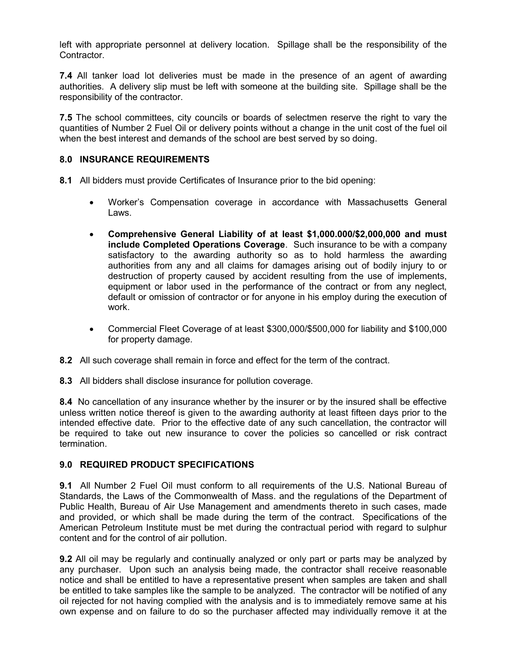left with appropriate personnel at delivery location. Spillage shall be the responsibility of the Contractor.

7.4 All tanker load lot deliveries must be made in the presence of an agent of awarding authorities. A delivery slip must be left with someone at the building site. Spillage shall be the responsibility of the contractor.

**7.5** The school committees, city councils or boards of selectmen reserve the right to vary the quantities of Number 2 Fuel Oil or delivery points without a change in the unit cost of the fuel oil when the best interest and demands of the school are best served by so doing.

### 8.0 INSURANCE REQUIREMENTS

8.1 All bidders must provide Certificates of Insurance prior to the bid opening:

- Worker's Compensation coverage in accordance with Massachusetts General Laws.
- Comprehensive General Liability of at least \$1,000.000/\$2,000,000 and must include Completed Operations Coverage. Such insurance to be with a company satisfactory to the awarding authority so as to hold harmless the awarding authorities from any and all claims for damages arising out of bodily injury to or destruction of property caused by accident resulting from the use of implements, equipment or labor used in the performance of the contract or from any neglect, default or omission of contractor or for anyone in his employ during the execution of work.
- Commercial Fleet Coverage of at least \$300,000/\$500,000 for liability and \$100,000 for property damage.
- 8.2 All such coverage shall remain in force and effect for the term of the contract.
- 8.3 All bidders shall disclose insurance for pollution coverage.

8.4 No cancellation of any insurance whether by the insurer or by the insured shall be effective unless written notice thereof is given to the awarding authority at least fifteen days prior to the intended effective date. Prior to the effective date of any such cancellation, the contractor will be required to take out new insurance to cover the policies so cancelled or risk contract termination.

#### 9.0 REQUIRED PRODUCT SPECIFICATIONS

9.1 All Number 2 Fuel Oil must conform to all requirements of the U.S. National Bureau of Standards, the Laws of the Commonwealth of Mass. and the regulations of the Department of Public Health, Bureau of Air Use Management and amendments thereto in such cases, made and provided, or which shall be made during the term of the contract. Specifications of the American Petroleum Institute must be met during the contractual period with regard to sulphur content and for the control of air pollution.

9.2 All oil may be regularly and continually analyzed or only part or parts may be analyzed by any purchaser. Upon such an analysis being made, the contractor shall receive reasonable notice and shall be entitled to have a representative present when samples are taken and shall be entitled to take samples like the sample to be analyzed. The contractor will be notified of any oil rejected for not having complied with the analysis and is to immediately remove same at his own expense and on failure to do so the purchaser affected may individually remove it at the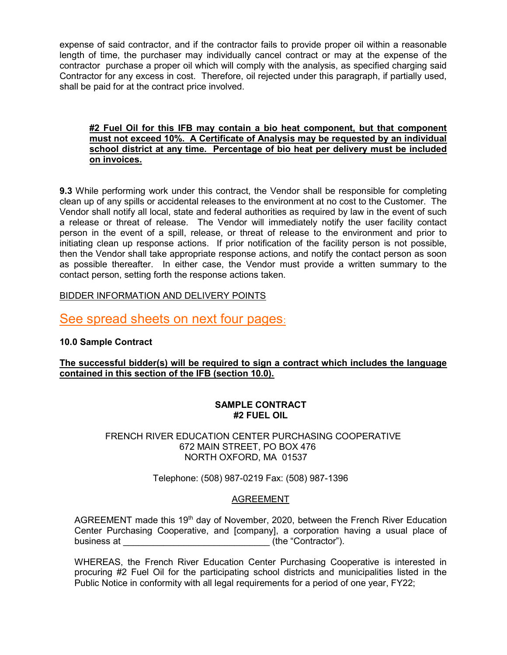expense of said contractor, and if the contractor fails to provide proper oil within a reasonable length of time, the purchaser may individually cancel contract or may at the expense of the contractor purchase a proper oil which will comply with the analysis, as specified charging said Contractor for any excess in cost. Therefore, oil rejected under this paragraph, if partially used, shall be paid for at the contract price involved.

### #2 Fuel Oil for this IFB may contain a bio heat component, but that component must not exceed 10%. A Certificate of Analysis may be requested by an individual school district at any time. Percentage of bio heat per delivery must be included on invoices.

9.3 While performing work under this contract, the Vendor shall be responsible for completing clean up of any spills or accidental releases to the environment at no cost to the Customer. The Vendor shall notify all local, state and federal authorities as required by law in the event of such a release or threat of release. The Vendor will immediately notify the user facility contact person in the event of a spill, release, or threat of release to the environment and prior to initiating clean up response actions. If prior notification of the facility person is not possible, then the Vendor shall take appropriate response actions, and notify the contact person as soon as possible thereafter. In either case, the Vendor must provide a written summary to the contact person, setting forth the response actions taken.

## BIDDER INFORMATION AND DELIVERY POINTS

# See spread sheets on next four pages:

## 10.0 Sample Contract

## The successful bidder(s) will be required to sign a contract which includes the language contained in this section of the IFB (section 10.0).

## SAMPLE CONTRACT #2 FUEL OIL

#### FRENCH RIVER EDUCATION CENTER PURCHASING COOPERATIVE 672 MAIN STREET, PO BOX 476 NORTH OXFORD, MA 01537

Telephone: (508) 987-0219 Fax: (508) 987-1396

## AGREEMENT

AGREEMENT made this 19<sup>th</sup> day of November, 2020, between the French River Education Center Purchasing Cooperative, and [company], a corporation having a usual place of business at  $\qquad \qquad$  (the "Contractor").

WHEREAS, the French River Education Center Purchasing Cooperative is interested in procuring #2 Fuel Oil for the participating school districts and municipalities listed in the Public Notice in conformity with all legal requirements for a period of one year, FY22;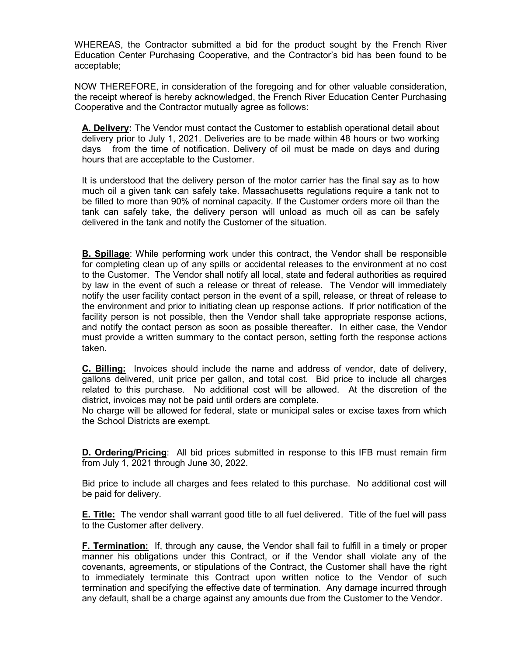WHEREAS, the Contractor submitted a bid for the product sought by the French River Education Center Purchasing Cooperative, and the Contractor's bid has been found to be acceptable;

NOW THEREFORE, in consideration of the foregoing and for other valuable consideration, the receipt whereof is hereby acknowledged, the French River Education Center Purchasing Cooperative and the Contractor mutually agree as follows:

A. Delivery: The Vendor must contact the Customer to establish operational detail about delivery prior to July 1, 2021. Deliveries are to be made within 48 hours or two working days from the time of notification. Delivery of oil must be made on days and during hours that are acceptable to the Customer.

 It is understood that the delivery person of the motor carrier has the final say as to how much oil a given tank can safely take. Massachusetts regulations require a tank not to be filled to more than 90% of nominal capacity. If the Customer orders more oil than the tank can safely take, the delivery person will unload as much oil as can be safely delivered in the tank and notify the Customer of the situation.

**B. Spillage:** While performing work under this contract, the Vendor shall be responsible for completing clean up of any spills or accidental releases to the environment at no cost to the Customer. The Vendor shall notify all local, state and federal authorities as required by law in the event of such a release or threat of release. The Vendor will immediately notify the user facility contact person in the event of a spill, release, or threat of release to the environment and prior to initiating clean up response actions. If prior notification of the facility person is not possible, then the Vendor shall take appropriate response actions, and notify the contact person as soon as possible thereafter. In either case, the Vendor must provide a written summary to the contact person, setting forth the response actions taken.

C. Billing: Invoices should include the name and address of vendor, date of delivery, gallons delivered, unit price per gallon, and total cost. Bid price to include all charges related to this purchase. No additional cost will be allowed. At the discretion of the district, invoices may not be paid until orders are complete.

No charge will be allowed for federal, state or municipal sales or excise taxes from which the School Districts are exempt.

**D. Ordering/Pricing:** All bid prices submitted in response to this IFB must remain firm from July 1, 2021 through June 30, 2022.

Bid price to include all charges and fees related to this purchase. No additional cost will be paid for delivery.

**E. Title:** The vendor shall warrant good title to all fuel delivered. Title of the fuel will pass to the Customer after delivery.

F. Termination: If, through any cause, the Vendor shall fail to fulfill in a timely or proper manner his obligations under this Contract, or if the Vendor shall violate any of the covenants, agreements, or stipulations of the Contract, the Customer shall have the right to immediately terminate this Contract upon written notice to the Vendor of such termination and specifying the effective date of termination. Any damage incurred through any default, shall be a charge against any amounts due from the Customer to the Vendor.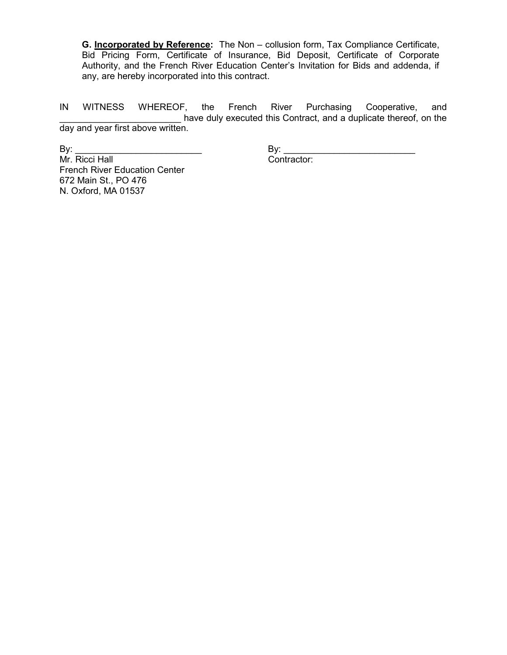G. Incorporated by Reference: The Non - collusion form, Tax Compliance Certificate, Bid Pricing Form, Certificate of Insurance, Bid Deposit, Certificate of Corporate Authority, and the French River Education Center's Invitation for Bids and addenda, if any, are hereby incorporated into this contract.

IN WITNESS WHEREOF, the French River Purchasing Cooperative, and \_\_\_\_\_\_\_\_\_\_\_\_\_\_\_\_\_\_\_\_\_\_\_\_ have duly executed this Contract, and a duplicate thereof, on the day and year first above written.

By: \_\_\_\_\_\_\_\_\_\_\_\_\_\_\_\_\_\_\_\_\_\_\_\_\_ By: \_\_\_\_\_\_\_\_\_\_\_\_\_\_\_\_\_\_\_\_\_\_\_\_\_\_ Mr. Ricci Hall Contractor: French River Education Center 672 Main St., PO 476 N. Oxford, MA 01537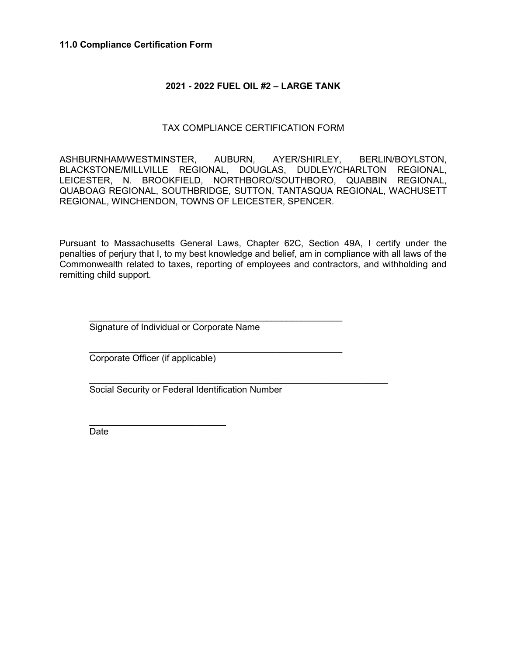#### 11.0 Compliance Certification Form

## 2021 - 2022 FUEL OIL #2 – LARGE TANK

## TAX COMPLIANCE CERTIFICATION FORM

ASHBURNHAM/WESTMINSTER, AUBURN, AYER/SHIRLEY, BERLIN/BOYLSTON, BLACKSTONE/MILLVILLE REGIONAL, DOUGLAS, DUDLEY/CHARLTON REGIONAL, LEICESTER, N. BROOKFIELD, NORTHBORO/SOUTHBORO, QUABBIN REGIONAL, QUABOAG REGIONAL, SOUTHBRIDGE, SUTTON, TANTASQUA REGIONAL, WACHUSETT REGIONAL, WINCHENDON, TOWNS OF LEICESTER, SPENCER.

Pursuant to Massachusetts General Laws, Chapter 62C, Section 49A, I certify under the penalties of perjury that I, to my best knowledge and belief, am in compliance with all laws of the Commonwealth related to taxes, reporting of employees and contractors, and withholding and remitting child support.

Signature of Individual or Corporate Name

 $\mathcal{L}_\text{max} = \frac{1}{2} \sum_{i=1}^{n} \frac{1}{2} \sum_{i=1}^{n} \frac{1}{2} \sum_{i=1}^{n} \frac{1}{2} \sum_{i=1}^{n} \frac{1}{2} \sum_{i=1}^{n} \frac{1}{2} \sum_{i=1}^{n} \frac{1}{2} \sum_{i=1}^{n} \frac{1}{2} \sum_{i=1}^{n} \frac{1}{2} \sum_{i=1}^{n} \frac{1}{2} \sum_{i=1}^{n} \frac{1}{2} \sum_{i=1}^{n} \frac{1}{2} \sum_{i=1}^{n} \frac{1$ 

 $\mathcal{L}_\text{max} = \frac{1}{2} \sum_{i=1}^{n} \frac{1}{2} \sum_{i=1}^{n} \frac{1}{2} \sum_{i=1}^{n} \frac{1}{2} \sum_{i=1}^{n} \frac{1}{2} \sum_{i=1}^{n} \frac{1}{2} \sum_{i=1}^{n} \frac{1}{2} \sum_{i=1}^{n} \frac{1}{2} \sum_{i=1}^{n} \frac{1}{2} \sum_{i=1}^{n} \frac{1}{2} \sum_{i=1}^{n} \frac{1}{2} \sum_{i=1}^{n} \frac{1}{2} \sum_{i=1}^{n} \frac{1$ Corporate Officer (if applicable)

 $\mathcal{L}_\text{max} = \frac{1}{2} \sum_{i=1}^{n} \frac{1}{2} \sum_{i=1}^{n} \frac{1}{2} \sum_{i=1}^{n} \frac{1}{2} \sum_{i=1}^{n} \frac{1}{2} \sum_{i=1}^{n} \frac{1}{2} \sum_{i=1}^{n} \frac{1}{2} \sum_{i=1}^{n} \frac{1}{2} \sum_{i=1}^{n} \frac{1}{2} \sum_{i=1}^{n} \frac{1}{2} \sum_{i=1}^{n} \frac{1}{2} \sum_{i=1}^{n} \frac{1}{2} \sum_{i=1}^{n} \frac{1$ 

Social Security or Federal Identification Number

Date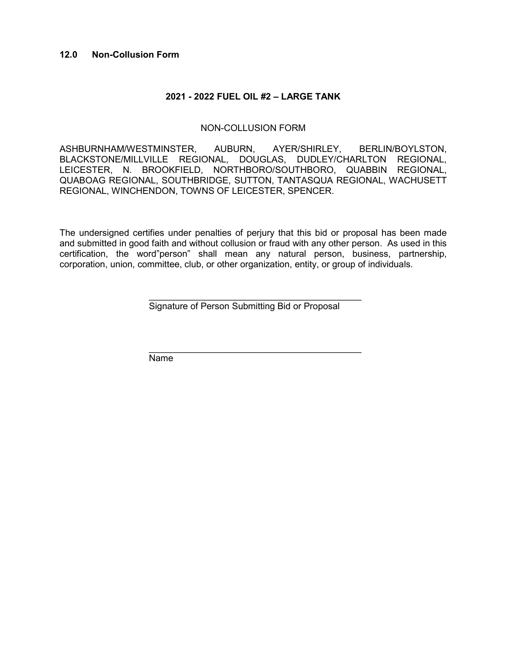### 2021 - 2022 FUEL OIL #2 – LARGE TANK

#### NON-COLLUSION FORM

ASHBURNHAM/WESTMINSTER, AUBURN, AYER/SHIRLEY, BERLIN/BOYLSTON, BLACKSTONE/MILLVILLE REGIONAL, DOUGLAS, DUDLEY/CHARLTON REGIONAL, LEICESTER, N. BROOKFIELD, NORTHBORO/SOUTHBORO, QUABBIN REGIONAL, QUABOAG REGIONAL, SOUTHBRIDGE, SUTTON, TANTASQUA REGIONAL, WACHUSETT REGIONAL, WINCHENDON, TOWNS OF LEICESTER, SPENCER.

The undersigned certifies under penalties of perjury that this bid or proposal has been made and submitted in good faith and without collusion or fraud with any other person. As used in this certification, the word"person" shall mean any natural person, business, partnership, corporation, union, committee, club, or other organization, entity, or group of individuals.

Signature of Person Submitting Bid or Proposal

\_\_\_\_\_\_\_\_\_\_\_\_\_\_\_\_\_\_\_\_\_\_\_\_\_\_\_\_\_\_\_\_\_\_\_\_\_\_\_\_\_\_

 \_\_\_\_\_\_\_\_\_\_\_\_\_\_\_\_\_\_\_\_\_\_\_\_\_\_\_\_\_\_\_\_\_\_\_\_\_\_\_\_\_\_ Name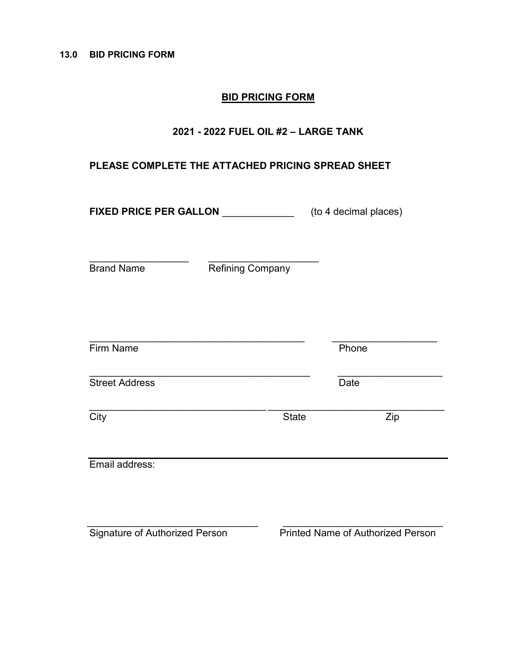## BID PRICING FORM

## 2021 - 2022 FUEL OIL #2 – LARGE TANK

## PLEASE COMPLETE THE ATTACHED PRICING SPREAD SHEET

FIXED PRICE PER GALLON \_\_\_\_\_\_\_\_\_\_\_\_\_\_\_\_\_(to 4 decimal places)

Brand Name Refining Company

 $\_$ 

| Firm Name             |              | Phone |  |
|-----------------------|--------------|-------|--|
| <b>Street Address</b> |              | Date  |  |
| City                  | <b>State</b> | Zip   |  |
| Email address:        |              |       |  |
|                       |              |       |  |
|                       |              |       |  |

Signature of Authorized Person Printed Name of Authorized Person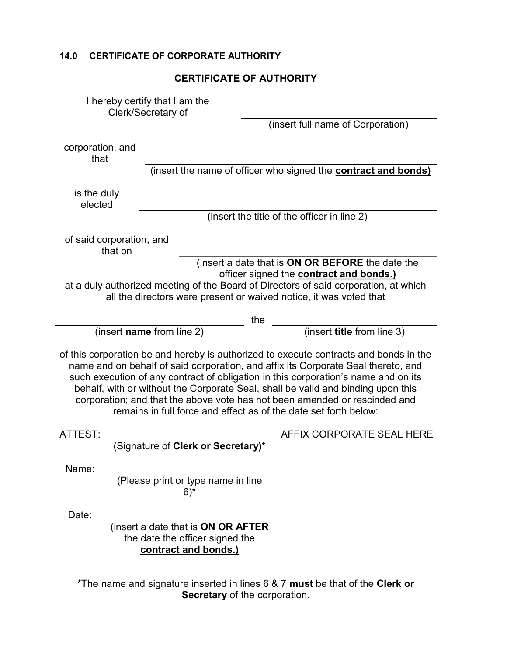|                                                                                                                                                                                                                                                                                                                                                                                                                                                                                                        | <b>CERTIFICATE OF AUTHORITY</b>                                                               |  |  |
|--------------------------------------------------------------------------------------------------------------------------------------------------------------------------------------------------------------------------------------------------------------------------------------------------------------------------------------------------------------------------------------------------------------------------------------------------------------------------------------------------------|-----------------------------------------------------------------------------------------------|--|--|
|                                                                                                                                                                                                                                                                                                                                                                                                                                                                                                        | I hereby certify that I am the<br>Clerk/Secretary of                                          |  |  |
|                                                                                                                                                                                                                                                                                                                                                                                                                                                                                                        | (insert full name of Corporation)                                                             |  |  |
| corporation, and<br>that                                                                                                                                                                                                                                                                                                                                                                                                                                                                               |                                                                                               |  |  |
|                                                                                                                                                                                                                                                                                                                                                                                                                                                                                                        | (insert the name of officer who signed the <b>contract and bonds)</b>                         |  |  |
| is the duly<br>elected                                                                                                                                                                                                                                                                                                                                                                                                                                                                                 |                                                                                               |  |  |
|                                                                                                                                                                                                                                                                                                                                                                                                                                                                                                        | (insert the title of the officer in line 2)                                                   |  |  |
| of said corporation, and<br>that on                                                                                                                                                                                                                                                                                                                                                                                                                                                                    |                                                                                               |  |  |
| (insert a date that is ON OR BEFORE the date the<br>officer signed the <b>contract and bonds.)</b><br>at a duly authorized meeting of the Board of Directors of said corporation, at which<br>all the directors were present or waived notice, it was voted that                                                                                                                                                                                                                                       |                                                                                               |  |  |
|                                                                                                                                                                                                                                                                                                                                                                                                                                                                                                        | the                                                                                           |  |  |
|                                                                                                                                                                                                                                                                                                                                                                                                                                                                                                        | (insert title from line 3)<br>(insert name from line 2)                                       |  |  |
| of this corporation be and hereby is authorized to execute contracts and bonds in the<br>name and on behalf of said corporation, and affix its Corporate Seal thereto, and<br>such execution of any contract of obligation in this corporation's name and on its<br>behalf, with or without the Corporate Seal, shall be valid and binding upon this<br>corporation; and that the above vote has not been amended or rescinded and<br>remains in full force and effect as of the date set forth below: |                                                                                               |  |  |
|                                                                                                                                                                                                                                                                                                                                                                                                                                                                                                        |                                                                                               |  |  |
| ATTEST:                                                                                                                                                                                                                                                                                                                                                                                                                                                                                                | AFFIX CORPORATE SEAL HERE<br>(Signature of Clerk or Secretary)*                               |  |  |
| Name:                                                                                                                                                                                                                                                                                                                                                                                                                                                                                                  |                                                                                               |  |  |
|                                                                                                                                                                                                                                                                                                                                                                                                                                                                                                        | (Please print or type name in line<br>$6)$ *                                                  |  |  |
| Date:                                                                                                                                                                                                                                                                                                                                                                                                                                                                                                  | (insert a date that is ON OR AFTER<br>the date the officer signed the<br>contract and bonds.) |  |  |

14.0 CERTIFICATE OF CORPORATE AUTHORITY

 $^\circ$ The name and signature inserted in lines 6 & 7  $\,$  must be that of the  $\,$ Clerk or Secretary of the corporation.